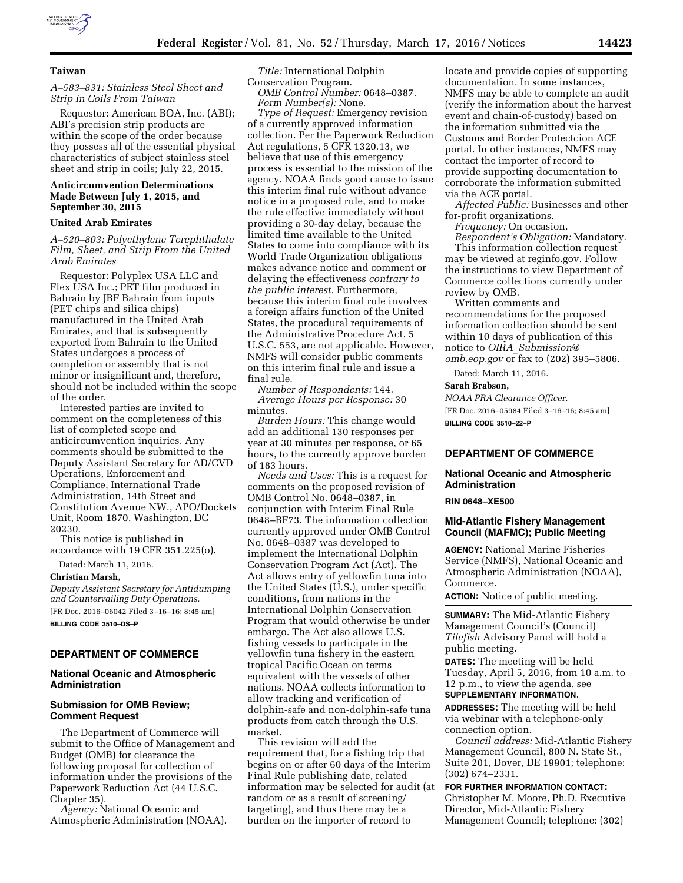

# **Taiwan**

# *A–583–831: Stainless Steel Sheet and Strip in Coils From Taiwan*

Requestor: American BOA, Inc. (ABI); ABI's precision strip products are within the scope of the order because they possess all of the essential physical characteristics of subject stainless steel sheet and strip in coils; July 22, 2015.

### **Anticircumvention Determinations Made Between July 1, 2015, and September 30, 2015**

#### **United Arab Emirates**

*A–520–803: Polyethylene Terephthalate Film, Sheet, and Strip From the United Arab Emirates* 

Requestor: Polyplex USA LLC and Flex USA Inc.; PET film produced in Bahrain by JBF Bahrain from inputs (PET chips and silica chips) manufactured in the United Arab Emirates, and that is subsequently exported from Bahrain to the United States undergoes a process of completion or assembly that is not minor or insignificant and, therefore, should not be included within the scope of the order.

Interested parties are invited to comment on the completeness of this list of completed scope and anticircumvention inquiries. Any comments should be submitted to the Deputy Assistant Secretary for AD/CVD Operations, Enforcement and Compliance, International Trade Administration, 14th Street and Constitution Avenue NW., APO/Dockets Unit, Room 1870, Washington, DC 20230.

This notice is published in accordance with 19 CFR 351.225(o).

Dated: March 11, 2016.

#### **Christian Marsh,**

*Deputy Assistant Secretary for Antidumping and Countervailing Duty Operations.*  [FR Doc. 2016–06042 Filed 3–16–16; 8:45 am] **BILLING CODE 3510–DS–P** 

# **DEPARTMENT OF COMMERCE**

#### **National Oceanic and Atmospheric Administration**

## **Submission for OMB Review; Comment Request**

The Department of Commerce will submit to the Office of Management and Budget (OMB) for clearance the following proposal for collection of information under the provisions of the Paperwork Reduction Act (44 U.S.C. Chapter 35).

*Agency:* National Oceanic and Atmospheric Administration (NOAA).

*Title:* International Dolphin Conservation Program. *OMB Control Number:* 0648–0387. *Form Number(s):* None.

*Type of Request:* Emergency revision of a currently approved information collection. Per the Paperwork Reduction Act regulations, 5 CFR 1320.13, we believe that use of this emergency process is essential to the mission of the agency. NOAA finds good cause to issue this interim final rule without advance notice in a proposed rule, and to make the rule effective immediately without providing a 30-day delay, because the limited time available to the United States to come into compliance with its World Trade Organization obligations makes advance notice and comment or delaying the effectiveness *contrary to the public interest.* Furthermore, because this interim final rule involves a foreign affairs function of the United States, the procedural requirements of the Administrative Procedure Act, 5 U.S.C. 553, are not applicable. However, NMFS will consider public comments on this interim final rule and issue a final rule.

*Number of Respondents:* 144. *Average Hours per Response:* 30 minutes.

*Burden Hours:* This change would add an additional 130 responses per year at 30 minutes per response, or 65 hours, to the currently approve burden of 183 hours.

*Needs and Uses:* This is a request for comments on the proposed revision of OMB Control No. 0648–0387, in conjunction with Interim Final Rule 0648–BF73. The information collection currently approved under OMB Control No. 0648–0387 was developed to implement the International Dolphin Conservation Program Act (Act). The Act allows entry of yellowfin tuna into the United States (U.S.), under specific conditions, from nations in the International Dolphin Conservation Program that would otherwise be under embargo. The Act also allows U.S. fishing vessels to participate in the yellowfin tuna fishery in the eastern tropical Pacific Ocean on terms equivalent with the vessels of other nations. NOAA collects information to allow tracking and verification of dolphin-safe and non-dolphin-safe tuna products from catch through the U.S. market.

This revision will add the requirement that, for a fishing trip that begins on or after 60 days of the Interim Final Rule publishing date, related information may be selected for audit (at random or as a result of screening/ targeting), and thus there may be a burden on the importer of record to

locate and provide copies of supporting documentation. In some instances, NMFS may be able to complete an audit (verify the information about the harvest event and chain-of-custody) based on the information submitted via the Customs and Border Protectcion ACE portal. In other instances, NMFS may contact the importer of record to provide supporting documentation to corroborate the information submitted via the ACE portal.

*Affected Public:* Businesses and other for-profit organizations.

*Frequency:* On occasion.

*Respondent's Obligation:* Mandatory. This information collection request may be viewed at reginfo.gov. Follow the instructions to view Department of Commerce collections currently under review by OMB.

Written comments and recommendations for the proposed information collection should be sent within 10 days of publication of this notice to *OIRA*\_*[Submission@](mailto:OIRA_Submission@omb.eop.gov) [omb.eop.gov](mailto:OIRA_Submission@omb.eop.gov)* or fax to (202) 395–5806.

Dated: March 11, 2016.

### **Sarah Brabson,**

*NOAA PRA Clearance Officer.*  [FR Doc. 2016–05984 Filed 3–16–16; 8:45 am] **BILLING CODE 3510–22–P** 

# **DEPARTMENT OF COMMERCE**

# **National Oceanic and Atmospheric Administration**

**RIN 0648–XE500** 

# **Mid-Atlantic Fishery Management Council (MAFMC); Public Meeting**

**AGENCY:** National Marine Fisheries Service (NMFS), National Oceanic and Atmospheric Administration (NOAA), Commerce.

**ACTION:** Notice of public meeting.

**SUMMARY:** The Mid-Atlantic Fishery Management Council's (Council) *Tilefish* Advisory Panel will hold a public meeting.

**DATES:** The meeting will be held Tuesday, April 5, 2016, from 10 a.m. to 12 p.m., to view the agenda, see **SUPPLEMENTARY INFORMATION**.

**ADDRESSES:** The meeting will be held via webinar with a telephone-only connection option.

*Council address:* Mid-Atlantic Fishery Management Council, 800 N. State St., Suite 201, Dover, DE 19901; telephone: (302) 674–2331.

**FOR FURTHER INFORMATION CONTACT:** 

Christopher M. Moore, Ph.D. Executive Director, Mid-Atlantic Fishery Management Council; telephone: (302)